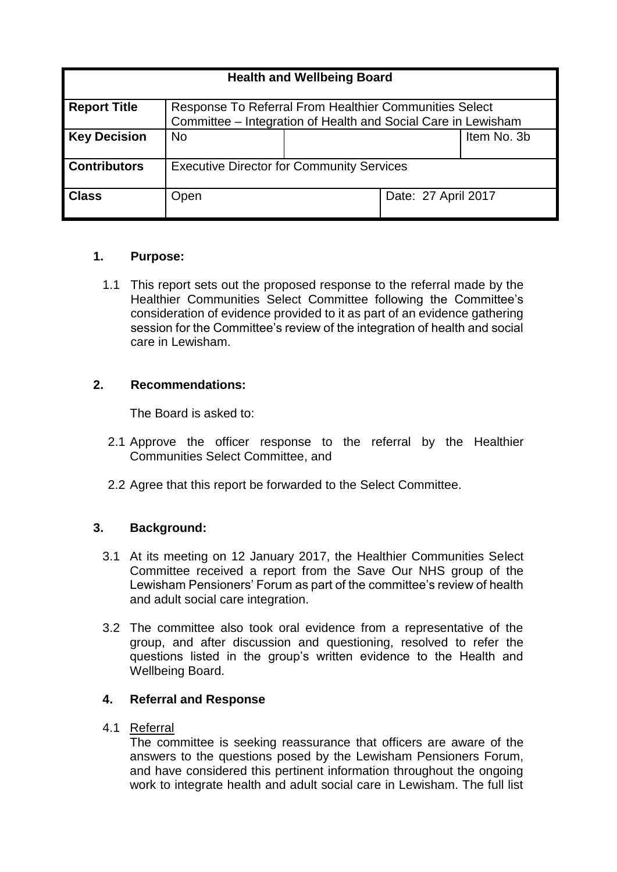| <b>Health and Wellbeing Board</b> |                                                                                                                         |  |                     |             |
|-----------------------------------|-------------------------------------------------------------------------------------------------------------------------|--|---------------------|-------------|
| <b>Report Title</b>               | Response To Referral From Healthier Communities Select<br>Committee - Integration of Health and Social Care in Lewisham |  |                     |             |
| <b>Key Decision</b>               | <b>No</b>                                                                                                               |  |                     | Item No. 3b |
| <b>Contributors</b>               | <b>Executive Director for Community Services</b>                                                                        |  |                     |             |
| <b>Class</b>                      | Open                                                                                                                    |  | Date: 27 April 2017 |             |

# **1. Purpose:**

1.1 This report sets out the proposed response to the referral made by the Healthier Communities Select Committee following the Committee's consideration of evidence provided to it as part of an evidence gathering session for the Committee's review of the integration of health and social care in Lewisham.

# **2. Recommendations:**

The Board is asked to:

- 2.1 Approve the officer response to the referral by the Healthier Communities Select Committee, and
- 2.2 Agree that this report be forwarded to the Select Committee.

# **3. Background:**

- 3.1 At its meeting on 12 January 2017, the Healthier Communities Select Committee received a report from the Save Our NHS group of the Lewisham Pensioners' Forum as part of the committee's review of health and adult social care integration.
- 3.2 The committee also took oral evidence from a representative of the group, and after discussion and questioning, resolved to refer the questions listed in the group's written evidence to the Health and Wellbeing Board.

# **4. Referral and Response**

4.1 Referral

The committee is seeking reassurance that officers are aware of the answers to the questions posed by the Lewisham Pensioners Forum, and have considered this pertinent information throughout the ongoing work to integrate health and adult social care in Lewisham. The full list